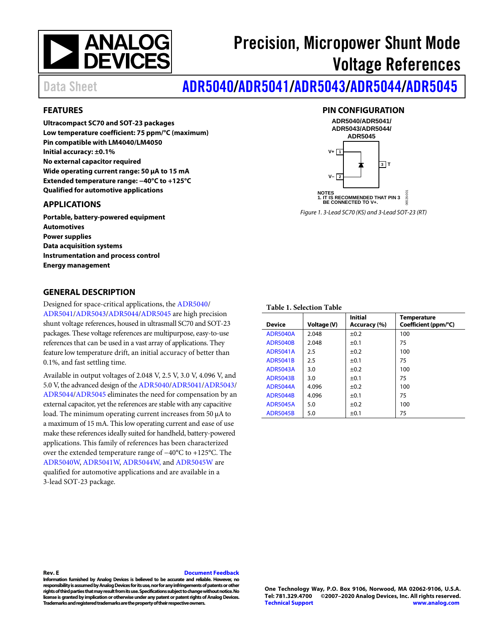# **NANALOG**<br>DEVICES

# Precision, Micropower Shunt Mode Voltage References

# Data Sheet **[ADR5040/](http://www.analog.com/adr5040?doc=adr5040_5041_5043_5044_5045.pdf)[ADR5041/](http://www.analog.com/adr5041?doc=adr5040_5041_5043_5044_5045.pdf)[ADR5043](http://www.analog.com/adr5043?doc=adr5040_5041_5043_5044_5045.pdf)[/ADR5044](http://www.analog.com/adr5044?doc=adr5040_5041_5043_5044_5045.pdf)[/ADR5045](http://www.analog.com/adr5045?doc=adr5040_5041_5043_5044_5045.pdf)**

#### <span id="page-0-0"></span>**FEATURES**

**Ultracompact SC70 and SOT-23 packages Low temperature coefficient: 75 ppm/°C (maximum) Pin compatible with LM4040/LM4050 Initial accuracy: ±0.1% No external capacitor required Wide operating current range: 50 µA to 15 mA Extended temperature range: −40°C to +125°C Qualified for automotive applications**

#### <span id="page-0-1"></span>**APPLICATIONS**

**Portable, battery-powered equipment Automotives Power supplies Data acquisition systems Instrumentation and process control Energy management**

#### <span id="page-0-3"></span>**GENERAL DESCRIPTION**

Designed for space-critical applications, th[e ADR5040/](http://www.analog.com/adr5040?doc=adr5040_5041_5043_5044_5045.pdf) [ADR5041](http://www.analog.com/adr5041?doc=adr5040_5041_5043_5044_5045.pdf)[/ADR5043/](http://www.analog.com/adr5043?doc=adr5040_5041_5043_5044_5045.pdf)[ADR5044](http://www.analog.com/adr5044?doc=adr5040_5041_5043_5044_5045.pdf)[/ADR5045](http://www.analog.com/adr5045?doc=adr5040_5041_5043_5044_5045.pdf) are high precision shunt voltage references, housed in ultrasmall SC70 and SOT-23 packages. These voltage references are multipurpose, easy-to-use references that can be used in a vast array of applications. They feature low temperature drift, an initial accuracy of better than 0.1%, and fast settling time.

Available in output voltages of 2.048 V, 2.5 V, 3.0 V, 4.096 V, and 5.0 V, the advanced design of th[e ADR5040](http://www.analog.com/adr5040?doc=adr5040_5041_5043_5044_5045.pdf)[/ADR5041/](http://www.analog.com/adr5041?doc=adr5040_5041_5043_5044_5045.pdf)[ADR5043/](http://www.analog.com/adr5043?doc=adr5040_5041_5043_5044_5045.pdf) [ADR5044](http://www.analog.com/adr5044?doc=adr5040_5041_5043_5044_5045.pdf)[/ADR5045](http://www.analog.com/adr5045?doc=adr5040_5041_5043_5044_5045.pdf) eliminates the need for compensation by an external capacitor, yet the references are stable with any capacitive load. The minimum operating current increases from 50 µA to a maximum of 15 mA. This low operating current and ease of use make these references ideally suited for handheld, battery-powered applications. This family of references has been characterized over the extended temperature range of −40°C to +125°C. The [ADR5040W,](https://www.analog.com/adr5040?doc=adr5040_5041_5043_5044_5045.pdf) [ADR5041W,](http://www.analog.com/adr5041?doc=adr5040_5041_5043_5044_5045.pdf) [ADR5044W,](http://www.analog.com/adr5044?doc=adr5040_5041_5043_5044_5045.pdf) and [ADR5045W](https://www.analog.com/adr5045?doc=adr5040_5041_5043_5044_5045.pdf) are qualified for automotive applications and are available in a 3-lead SOT-23 package.

<span id="page-0-2"></span>

#### **Table 1. Selection Table**

| <b>Device</b>   | <b>Voltage (V)</b> | <b>Initial</b><br>Accuracy (%) | <b>Temperature</b><br>Coefficient (ppm/°C) |
|-----------------|--------------------|--------------------------------|--------------------------------------------|
| <b>ADR5040A</b> | 2.048              | $\pm 0.2$                      | 100                                        |
| <b>ADR5040B</b> | 2.048              | $\pm 0.1$                      | 75                                         |
| <b>ADR5041A</b> | 2.5                | $\pm 0.2$                      | 100                                        |
| <b>ADR5041B</b> | 2.5                | $\pm 0.1$                      | 75                                         |
| <b>ADR5043A</b> | 3.0                | $\pm 0.2$                      | 100                                        |
| <b>ADR5043B</b> | 3.0                | $\pm 0.1$                      | 75                                         |
| <b>ADR5044A</b> | 4.096              | $\pm 0.2$                      | 100                                        |
| <b>ADR5044B</b> | 4.096              | $\pm 0.1$                      | 75                                         |
| <b>ADR5045A</b> | 5.0                | $\pm 0.2$                      | 100                                        |
| <b>ADR5045B</b> | 5.0                | $\pm 0.1$                      | 75                                         |

#### **Rev. E [Document Feedback](https://form.analog.com/Form_Pages/feedback/documentfeedback.aspx?doc=ADR5040_5041_5043_5044_5045.pdf&product=ADR5040%20ADR5041%20ADR5043%20ADR5044%20ADR5045&rev=E)**

**Information furnished by Analog Devices is believed to be accurate and reliable. However, no responsibility is assumed by Analog Devices for its use, nor for any infringements of patents or other rights of third parties that may result from its use. Specifications subject to change without notice. No license is granted by implication or otherwise under any patent or patent rights of Analog Devices. Trademarks and registered trademarks are the property of their respective owners.**

**One Technology Way, P.O. Box 9106, Norwood, MA 02062-9106, U.S.A. Tel: 781.329.4700 ©2007–2020 Analog Devices, Inc. All rights reserved. [Technical Support](http://www.analog.com/en/content/technical_support_page/fca.html) [www.analog.com](http://www.analog.com/)**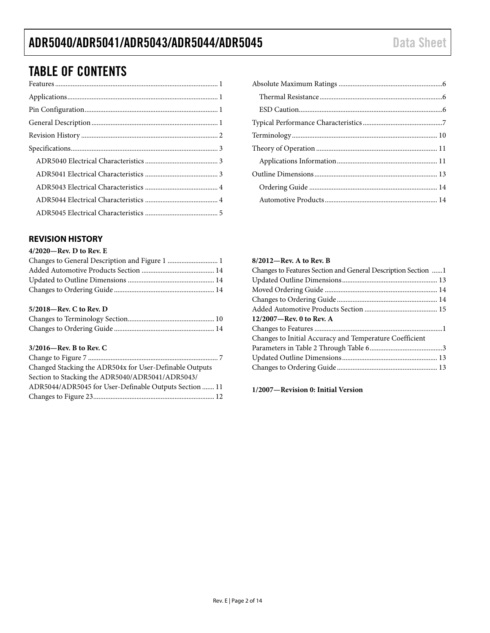# TABLE OF CONTENTS

#### <span id="page-1-0"></span>**REVISION HISTORY**

#### **4/2020—Rev. D to Rev. E**

#### **5/2018—Rev. C to Rev. D**

#### **3/2016—Rev. B to Rev. C**

| Changed Stacking the ADR504x for User-Definable Outputs |
|---------------------------------------------------------|
| Section to Stacking the ADR5040/ADR5041/ADR5043/        |
| ADR5044/ADR5045 for User-Definable Outputs Section  11  |
|                                                         |

| 8/2012—Rev. A to Rev. B                                       |  |
|---------------------------------------------------------------|--|
| Changes to Features Section and General Description Section 1 |  |
|                                                               |  |
|                                                               |  |
|                                                               |  |
|                                                               |  |
| 12/2007—Rev. 0 to Rev. A                                      |  |
|                                                               |  |
| Changes to Initial Accuracy and Temperature Coefficient       |  |
|                                                               |  |
|                                                               |  |
|                                                               |  |

**1/2007—Revision 0: Initial Version**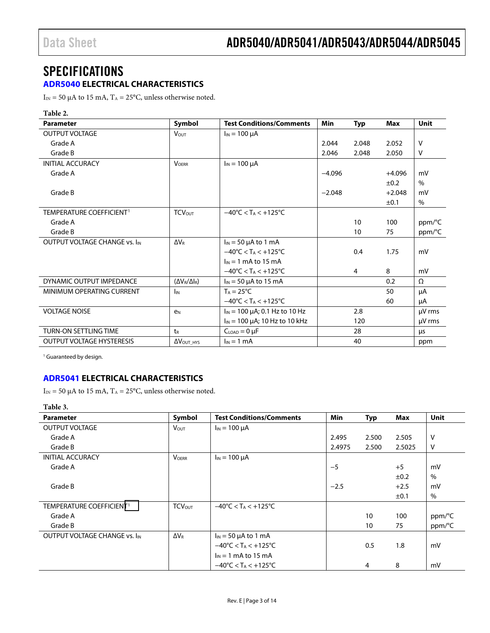# <span id="page-2-0"></span>SPECIFICATIONS

#### <span id="page-2-1"></span>**[ADR5040 E](http://www.analog.com/adr5040?doc=adr5040_5041_5043_5044_5045.pdf)LECTRICAL CHARACTERISTICS**

 $I_{IN}$  = 50  $\mu$ A to 15 mA, T<sub>A</sub> = 25°C, unless otherwise noted.

#### **Table 2.**

| <b>Parameter</b>                     | Symbol                       | <b>Test Conditions/Comments</b>                     | <b>Min</b> | <b>Typ</b> | <b>Max</b> | <b>Unit</b> |
|--------------------------------------|------------------------------|-----------------------------------------------------|------------|------------|------------|-------------|
| <b>OUTPUT VOLTAGE</b>                | <b>Vout</b>                  | $I_{IN}$ = 100 $\mu$ A                              |            |            |            |             |
| Grade A                              |                              |                                                     | 2.044      | 2.048      | 2.052      | V           |
| Grade B                              |                              |                                                     | 2.046      | 2.048      | 2.050      | V           |
| <b>INITIAL ACCURACY</b>              | <b>VOERR</b>                 | $I_{IN}$ = 100 $\mu$ A                              |            |            |            |             |
| Grade A                              |                              |                                                     | $-4.096$   |            | $+4.096$   | mV          |
|                                      |                              |                                                     |            |            | ±0.2       | $\%$        |
| Grade B                              |                              |                                                     | $-2.048$   |            | $+2.048$   | mV          |
|                                      |                              |                                                     |            |            | ±0.1       | $\%$        |
| TEMPERATURE COEFFICIENT <sup>1</sup> | <b>TCV</b> out               | $-40^{\circ}$ C < T <sub>A</sub> < $+125^{\circ}$ C |            |            |            |             |
| Grade A                              |                              |                                                     |            | 10         | 100        | ppm/°C      |
| Grade B                              |                              |                                                     |            | 10         | 75         | ppm/°C      |
| <b>OUTPUT VOLTAGE CHANGE VS. IIN</b> | $\Delta V_{\rm R}$           | $I_{IN}$ = 50 $\mu$ A to 1 mA                       |            |            |            |             |
|                                      |                              | $-40^{\circ}$ C < T <sub>A</sub> < $+125^{\circ}$ C |            | 0.4        | 1.75       | mV          |
|                                      |                              | $I_{IN}$ = 1 mA to 15 mA                            |            |            |            |             |
|                                      |                              | $-40^{\circ}$ C < T <sub>A</sub> < $+125^{\circ}$ C |            | 4          | 8          | mV          |
| DYNAMIC OUTPUT IMPEDANCE             | $(\Delta V_R/\Delta I_R)$    | $I_{IN}$ = 50 µA to 15 mA                           |            |            | 0.2        | Ω           |
| MINIMUM OPERATING CURRENT            | I <sub>IN</sub>              | $T_A = 25^{\circ}C$                                 |            |            | 50         | μA          |
|                                      |                              | $-40^{\circ}$ C < T <sub>A</sub> < $+125^{\circ}$ C |            |            | 60         | μA          |
| <b>VOLTAGE NOISE</b>                 | e <sub>N</sub>               | $I_{IN}$ = 100 µA; 0.1 Hz to 10 Hz                  |            | 2.8        |            | µV rms      |
|                                      |                              | $I_{IN}$ = 100 $\mu$ A; 10 Hz to 10 kHz             |            | 120        |            | $\mu$ V rms |
| TURN-ON SETTLING TIME                | $t_{R}$                      | $C_{LOAD} = 0 \mu F$                                |            | 28         |            | μs          |
| <b>OUTPUT VOLTAGE HYSTERESIS</b>     | $\Delta V_{\text{OUT\_HYS}}$ | $I_{IN} = 1$ mA                                     |            | 40         |            | ppm         |

<sup>1</sup> Guaranteed by design.

#### <span id="page-2-2"></span>**[ADR5041](http://www.analog.com/adr5041?doc=adr5040_5041_5043_5044_5045.pdf) ELECTRICAL CHARACTERISTICS**

I<sub>IN</sub> = 50 µA to 15 mA, T<sub>A</sub> = 25°C, unless otherwise noted.

**Table 3.** 

| <b>Parameter</b>                     | Symbol             | <b>Test Conditions/Comments</b>                     | Min    | <b>Typ</b> | Max    | <b>Unit</b> |
|--------------------------------------|--------------------|-----------------------------------------------------|--------|------------|--------|-------------|
| <b>OUTPUT VOLTAGE</b>                | <b>VOUT</b>        | $I_{IN}$ = 100 $\mu$ A                              |        |            |        |             |
| Grade A                              |                    |                                                     | 2.495  | 2.500      | 2.505  | V           |
| Grade B                              |                    |                                                     | 2.4975 | 2.500      | 2.5025 | $\vee$      |
| <b>INITIAL ACCURACY</b>              | <b>VOERR</b>       | $I_{IN}$ = 100 $\mu$ A                              |        |            |        |             |
| Grade A                              |                    |                                                     | $-5$   |            | $+5$   | mV          |
|                                      |                    |                                                     |        |            | ±0.2   | $\%$        |
| Grade B                              |                    |                                                     | $-2.5$ |            | $+2.5$ | mV          |
|                                      |                    |                                                     |        |            | ±0.1   | $\%$        |
| TEMPERATURE COEFFICIENT <sup>1</sup> | <b>TCVOUT</b>      | $-40^{\circ}$ C < T <sub>A</sub> < $+125^{\circ}$ C |        |            |        |             |
| Grade A                              |                    |                                                     |        | 10         | 100    | ppm/°C      |
| Grade B                              |                    |                                                     |        | 10         | 75     | ppm/°C      |
| OUTPUT VOLTAGE CHANGE VS. IIN        | $\Delta V_{\rm R}$ | $I_{IN}$ = 50 µA to 1 mA                            |        |            |        |             |
|                                      |                    | $-40^{\circ}$ C < T <sub>A</sub> < $+125^{\circ}$ C |        | 0.5        | 1.8    | mV          |
|                                      |                    | $I_{IN}$ = 1 mA to 15 mA                            |        |            |        |             |
|                                      |                    | $-40^{\circ}$ C < T <sub>A</sub> < $+125^{\circ}$ C |        | 4          | 8      | mV          |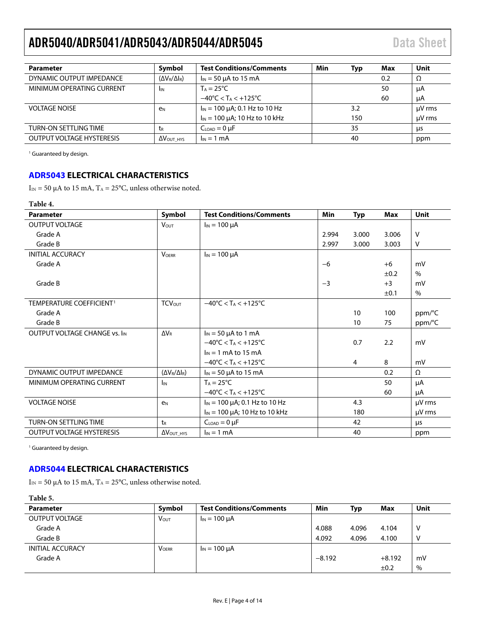<span id="page-3-2"></span>

| <b>Parameter</b>                 | Symbol                      | <b>Test Conditions/Comments</b>                     | Min | Typ | Max | Unit        |
|----------------------------------|-----------------------------|-----------------------------------------------------|-----|-----|-----|-------------|
| DYNAMIC OUTPUT IMPEDANCE         | $(\Delta V_R/\Delta I_R)$   | $I_{IN}$ = 50 µA to 15 mA                           |     |     | 0.2 | Ω           |
| MINIMUM OPERATING CURRENT        | <b>I</b> IN                 | $T_A = 25^{\circ}C$                                 |     |     | 50  | uA          |
|                                  |                             | $-40^{\circ}$ C < T <sub>A</sub> < $+125^{\circ}$ C |     |     | 60  | μA          |
| <b>VOLTAGE NOISE</b>             | e <sub>N</sub>              | $I_{IN}$ = 100 $\mu$ A; 0.1 Hz to 10 Hz             |     | 3.2 |     | $\mu$ V rms |
|                                  |                             | $I_{IN}$ = 100 $\mu$ A; 10 Hz to 10 kHz             |     | 150 |     | uV rms      |
| TURN-ON SETTLING TIME            | τR                          | $C_{LOAD} = 0 \mu F$                                |     | 35  |     | μs          |
| <b>OUTPUT VOLTAGE HYSTERESIS</b> | $\Delta V_{\text{OUT HYS}}$ | $I_{IN} = 1$ mA                                     |     | 40  |     | ppm         |

<sup>1</sup> Guaranteed by design.

#### <span id="page-3-0"></span>**[ADR5043](http://www.analog.com/adr5043?doc=adr5040_5041_5043_5044_5045.pdf) ELECTRICAL CHARACTERISTICS**

 $I_{\rm IN}$  = 50  $\upmu\text{A}$  to 15 mA, T<sub>A</sub> = 25°C, unless otherwise noted.

#### **Table 4.**

| <b>Parameter</b>                     | Symbol                      | <b>Test Conditions/Comments</b>                     | <b>Min</b> | <b>Typ</b>     | Max   | <b>Unit</b> |
|--------------------------------------|-----------------------------|-----------------------------------------------------|------------|----------------|-------|-------------|
| <b>OUTPUT VOLTAGE</b>                | <b>VOUT</b>                 | $I_{IN}$ = 100 $\mu$ A                              |            |                |       |             |
| Grade A                              |                             |                                                     | 2.994      | 3.000          | 3.006 | $\vee$      |
| Grade B                              |                             |                                                     | 2.997      | 3.000          | 3.003 | V           |
| <b>INITIAL ACCURACY</b>              | <b>VOERR</b>                | $I_{IN}$ = 100 $\mu$ A                              |            |                |       |             |
| Grade A                              |                             |                                                     | $-6$       |                | $+6$  | mV          |
|                                      |                             |                                                     |            |                | ±0.2  | $\%$        |
| Grade B                              |                             |                                                     | $-3$       |                | $+3$  | mV          |
|                                      |                             |                                                     |            |                | ±0.1  | $\%$        |
| TEMPERATURE COEFFICIENT <sup>1</sup> | <b>TCVOUT</b>               | $-40^{\circ}$ C < T <sub>A</sub> < $+125^{\circ}$ C |            |                |       |             |
| Grade A                              |                             |                                                     |            | 10             | 100   | ppm/°C      |
| Grade B                              |                             |                                                     |            | 10             | 75    | ppm/°C      |
| OUTPUT VOLTAGE CHANGE VS. IIN        | $\Delta V_R$                | $I_{IN}$ = 50 µA to 1 mA                            |            |                |       |             |
|                                      |                             | $-40^{\circ}$ C < T <sub>A</sub> < $+125^{\circ}$ C |            | 0.7            | 2.2   | mV          |
|                                      |                             | $I_{IN}$ = 1 mA to 15 mA                            |            |                |       |             |
|                                      |                             | $-40^{\circ}$ C < T <sub>A</sub> < $+125^{\circ}$ C |            | $\overline{4}$ | 8     | mV          |
| DYNAMIC OUTPUT IMPEDANCE             | $(\Delta V_R/\Delta I_R)$   | $I_{IN}$ = 50 µA to 15 mA                           |            |                | 0.2   | Ω           |
| MINIMUM OPERATING CURRENT            | $I_{IN}$                    | $T_A = 25^{\circ}C$                                 |            |                | 50    | μA          |
|                                      |                             | $-40^{\circ}$ C < T <sub>A</sub> < $+125^{\circ}$ C |            |                | 60    | μA          |
| <b>VOLTAGE NOISE</b>                 | e <sub>N</sub>              | $I_{IN}$ = 100 µA; 0.1 Hz to 10 Hz                  |            | 4.3            |       | µV rms      |
|                                      |                             | $I_{IN}$ = 100 $\mu$ A; 10 Hz to 10 kHz             |            | 180            |       | µV rms      |
| TURN-ON SETTLING TIME                | t <sub>R</sub>              | $CLOAD = 0 \mu F$                                   |            | 42             |       | μs          |
| <b>OUTPUT VOLTAGE HYSTERESIS</b>     | $\Delta V_{\text{OUT HYS}}$ | $I_{IN} = 1$ mA                                     |            | 40             |       | ppm         |

<sup>1</sup> Guaranteed by design.

#### <span id="page-3-1"></span>**[ADR5044](http://www.analog.com/adr5044?doc=adr5040_5041_5043_5044_5045.pdf) ELECTRICAL CHARACTERISTICS**

 $I_{IN}$  = 50 µA to 15 mA,  $T_A$  = 25°C, unless otherwise noted.

#### **Table 5.**

| <b>Parameter</b>        | Symbol                  | <b>Test Conditions/Comments</b> | Min      | Typ   | Max       | Unit |
|-------------------------|-------------------------|---------------------------------|----------|-------|-----------|------|
| OUTPUT VOLTAGE          | <b>V</b> <sub>OUT</sub> | $I_{IN}$ = 100 $\mu$ A          |          |       |           |      |
| Grade A                 |                         |                                 | 4.088    | 4.096 | 4.104     |      |
| Grade B                 |                         |                                 | 4.092    | 4.096 | 4.100     |      |
| <b>INITIAL ACCURACY</b> | <b>VOFRR</b>            | $I_{IN}$ = 100 $\mu$ A          |          |       |           |      |
| Grade A                 |                         |                                 | $-8.192$ |       | $+8.192$  | mV   |
|                         |                         |                                 |          |       | $\pm 0.2$ | $\%$ |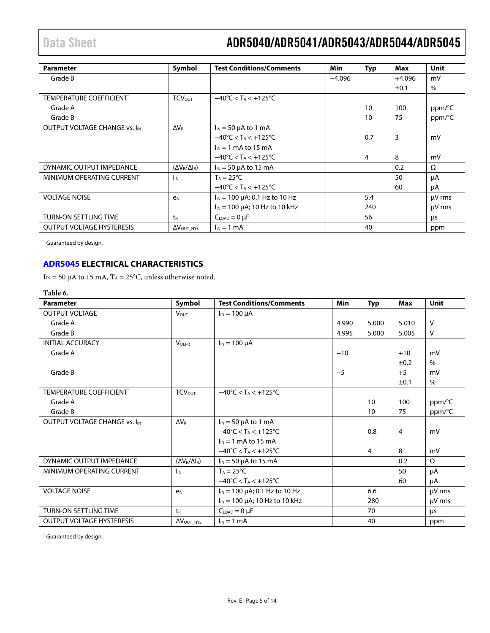| <b>Parameter</b>                     | Symbol                       | <b>Test Conditions/Comments</b>                     | Min      | <b>Typ</b> | Max       | Unit        |
|--------------------------------------|------------------------------|-----------------------------------------------------|----------|------------|-----------|-------------|
| Grade B                              |                              |                                                     | $-4.096$ |            | $+4.096$  | mV          |
|                                      |                              |                                                     |          |            | $\pm 0.1$ | $\%$        |
| TEMPERATURE COEFFICIENT <sup>1</sup> | <b>TCV</b> <sub>OUT</sub>    | $-40^{\circ}$ C < T <sub>A</sub> < $+125^{\circ}$ C |          |            |           |             |
| Grade A                              |                              |                                                     |          | 10         | 100       | ppm/°C      |
| Grade B                              |                              |                                                     |          | 10         | 75        | ppm/°C      |
| <b>OUTPUT VOLTAGE CHANGE VS. IIN</b> | <b>AVR</b>                   | $I_{IN}$ = 50 µA to 1 mA                            |          |            |           |             |
|                                      |                              | $-40^{\circ}$ C < T <sub>A</sub> < $+125^{\circ}$ C |          | 0.7        | 3         | mV          |
|                                      |                              | $I_{IN} = 1$ mA to 15 mA                            |          |            |           |             |
|                                      |                              | $-40^{\circ}$ C < T <sub>A</sub> < $+125^{\circ}$ C |          | 4          | 8         | mV          |
| DYNAMIC OUTPUT IMPEDANCE             | $(\Delta V_R/\Delta I_R)$    | $I_{IN}$ = 50 µA to 15 mA                           |          |            | 0.2       | Ω           |
| MINIMUM OPERATING CURRENT            | <b>I</b> IN                  | $T_A = 25^{\circ}C$                                 |          |            | 50        | μA          |
|                                      |                              | $-40^{\circ}$ C < T <sub>A</sub> < $+125^{\circ}$ C |          |            | 60        | μA          |
| <b>VOLTAGE NOISE</b>                 | e <sub>N</sub>               | $I_{IN}$ = 100 $\mu$ A; 0.1 Hz to 10 Hz             |          | 5.4        |           | $\mu$ V rms |
|                                      |                              | $I_{IN}$ = 100 $\mu$ A; 10 Hz to 10 kHz             |          | 240        |           | $\mu$ V rms |
| <b>TURN-ON SETTLING TIME</b>         | tr                           | $C_{LOAD} = 0 \mu F$                                |          | 56         |           | μs          |
| <b>OUTPUT VOLTAGE HYSTERESIS</b>     | $\Delta V_{\text{OUT\_HYS}}$ | $I_{IN}$ = 1 mA                                     |          | 40         |           | ppm         |

<sup>1</sup> Guaranteed by design.

#### <span id="page-4-0"></span>**[ADR5045](http://www.analog.com/adr5045?doc=adr5040_5041_5043_5044_5045.pdf) ELECTRICAL CHARACTERISTICS**

 $I_{IN}$  = 50 µA to 15 mA, T<sub>A</sub> = 25°C, unless otherwise noted.

#### **Table 6.**

| <b>Parameter</b>                     | Symbol                       | <b>Test Conditions/Comments</b>                     | <b>Min</b> | <b>Typ</b>     | <b>Max</b>     | Unit   |
|--------------------------------------|------------------------------|-----------------------------------------------------|------------|----------------|----------------|--------|
| <b>OUTPUT VOLTAGE</b>                | $V_{\text{OUT}}$             | $I_{IN}$ = 100 $\mu$ A                              |            |                |                |        |
| Grade A                              |                              |                                                     | 4.990      | 5.000          | 5.010          | $\vee$ |
| Grade B                              |                              |                                                     | 4.995      | 5.000          | 5.005          | V      |
| <b>INITIAL ACCURACY</b>              | <b>VOERR</b>                 | $I_{IN}$ = 100 $\mu$ A                              |            |                |                |        |
| Grade A                              |                              |                                                     | $-10$      |                | $+10$          | mV     |
|                                      |                              |                                                     |            |                | ±0.2           | $\%$   |
| Grade B                              |                              |                                                     | $-5$       |                | $+5$           | mV     |
|                                      |                              |                                                     |            |                | ±0.1           | %      |
| TEMPERATURE COEFFICIENT <sup>1</sup> | <b>TCVOUT</b>                | $-40^{\circ}$ C < T <sub>A</sub> < $+125^{\circ}$ C |            |                |                |        |
| Grade A                              |                              |                                                     |            | 10             | 100            | ppm/°C |
| Grade B                              |                              |                                                     |            | 10             | 75             | ppm/°C |
| <b>OUTPUT VOLTAGE CHANGE VS. IIN</b> | $\Delta V_{\rm R}$           | $I_{IN}$ = 50 µA to 1 mA                            |            |                |                |        |
|                                      |                              | $-40^{\circ}$ C < T <sub>A</sub> < $+125^{\circ}$ C |            | 0.8            | $\overline{4}$ | mV     |
|                                      |                              | $I_{IN}$ = 1 mA to 15 mA                            |            |                |                |        |
|                                      |                              | $-40^{\circ}$ C < T <sub>A</sub> < $+125^{\circ}$ C |            | $\overline{4}$ | 8              | mV     |
| DYNAMIC OUTPUT IMPEDANCE             | $(\Delta V_R/\Delta I_R)$    | $I_{IN}$ = 50 µA to 15 mA                           |            |                | 0.2            | Ω      |
| MINIMUM OPERATING CURRENT            | I <sub>IN</sub>              | $T_A = 25^{\circ}C$                                 |            |                | 50             | μA     |
|                                      |                              | $-40^{\circ}$ C < T <sub>A</sub> < $+125^{\circ}$ C |            |                | 60             | μA     |
| <b>VOLTAGE NOISE</b>                 | e <sub>N</sub>               | $I_{IN}$ = 100 $\mu$ A; 0.1 Hz to 10 Hz             |            | 6.6            |                | µV rms |
|                                      |                              | $I_{IN}$ = 100 $\mu$ A; 10 Hz to 10 kHz             |            | 280            |                | µV rms |
| <b>TURN-ON SETTLING TIME</b>         | t <sub>R</sub>               | $C_{LOAD} = 0 \mu F$                                |            | 70             |                | μs     |
| <b>OUTPUT VOLTAGE HYSTERESIS</b>     | $\Delta V_{\text{OUT\_HYS}}$ | $I_{IN} = 1$ mA                                     |            | 40             |                | ppm    |

<sup>1</sup> Guaranteed by design.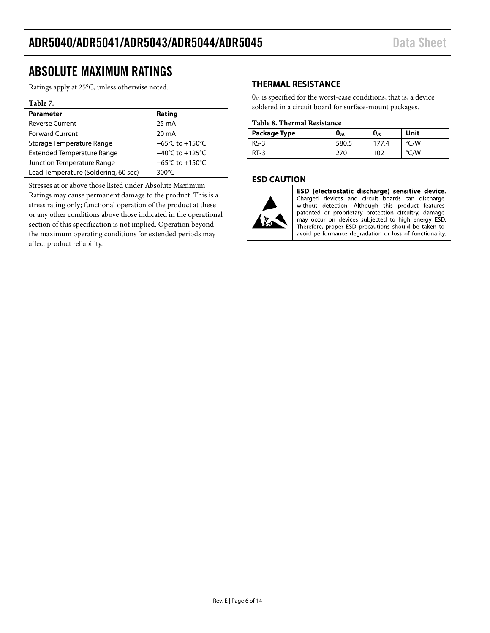# <span id="page-5-0"></span>ABSOLUTE MAXIMUM RATINGS

Ratings apply at 25°C, unless otherwise noted.

#### **Table 7.**

| <b>Parameter</b>                     | Rating                               |
|--------------------------------------|--------------------------------------|
| <b>Reverse Current</b>               | 25 mA                                |
| <b>Forward Current</b>               | 20 mA                                |
| Storage Temperature Range            | $-65^{\circ}$ C to +150 $^{\circ}$ C |
| <b>Extended Temperature Range</b>    | $-40^{\circ}$ C to $+125^{\circ}$ C  |
| Junction Temperature Range           | $-65^{\circ}$ C to +150 $^{\circ}$ C |
| Lead Temperature (Soldering, 60 sec) | $300^{\circ}$ C                      |

Stresses at or above those listed under Absolute Maximum Ratings may cause permanent damage to the product. This is a stress rating only; functional operation of the product at these or any other conditions above those indicated in the operational section of this specification is not implied. Operation beyond the maximum operating conditions for extended periods may affect product reliability.

#### <span id="page-5-1"></span>**THERMAL RESISTANCE**

 $\theta_{JA}$  is specified for the worst-case conditions, that is, a device soldered in a circuit board for surface-mount packages.

#### **Table 8. Thermal Resistance**

| Package Type | $\theta_{JA}$ | $θ$ ις | Unit |
|--------------|---------------|--------|------|
| KS-3         | 580.5         | 177.4  | °C/W |
| $RT-3$       | 270           | 102    | °C/W |

#### <span id="page-5-2"></span>**ESD CAUTION**



ESD (electrostatic discharge) sensitive device. Charged devices and circuit boards can discharge<br>without detection. Although this product features patented or proprietary protection circuitry, damage may occur on devices subjected to high energy ESD. Therefore, proper ESD precautions should be taken to avoid performance degradation or loss of functionality.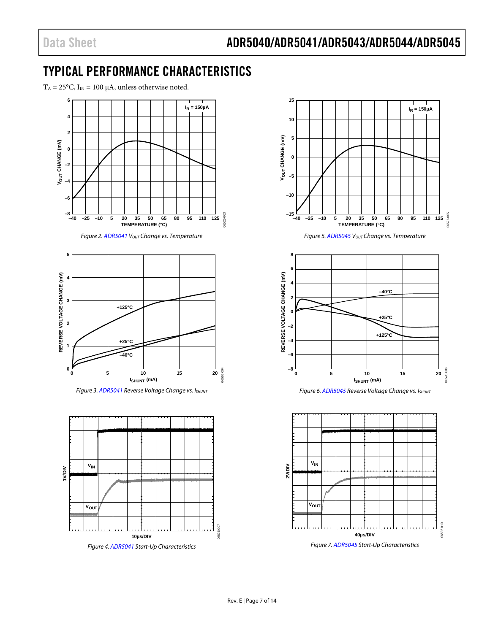# <span id="page-6-0"></span>TYPICAL PERFORMANCE CHARACTERISTICS

 $T_A = 25$ °C,  $I_{IN} = 100 \mu A$ , unless otherwise noted.



*Figure 2[. ADR5041](http://www.analog.com/adr5041?doc=adr5040_5041_5043_5044_5045.pdf)*  $V_{OUT}$  *Change vs. Temperature* 

06526-003



*Figure 3[. ADR5041](http://www.analog.com/adr5041?doc=adr5040_5041_5043_5044_5045.pdf) Reverse Voltage Change vs. ISHUNT*



*Figure 4[. ADR5041](http://www.analog.com/adr5041?doc=adr5040_5041_5043_5044_5045.pdf) Start-Up Characteristics*





*Figure 6[. ADR5045](http://www.analog.com/adr5045?doc=adr5040_5041_5043_5044_5045.pdf) Reverse Voltage Change vs. ISHUNT*



*Figure 7[. ADR5045](http://www.analog.com/adr5045?doc=adr5040_5041_5043_5044_5045.pdf) Start-Up Characteristics*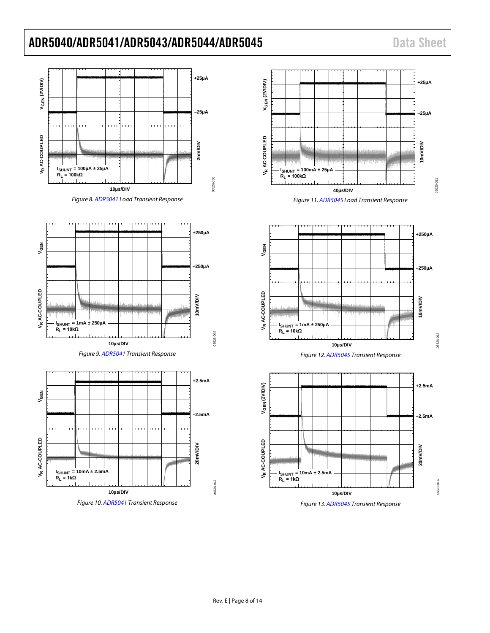

















*Figure 13[. ADR5045](http://www.analog.com/adr5045?doc=adr5040_5041_5043_5044_5045.pdf) Transient Response*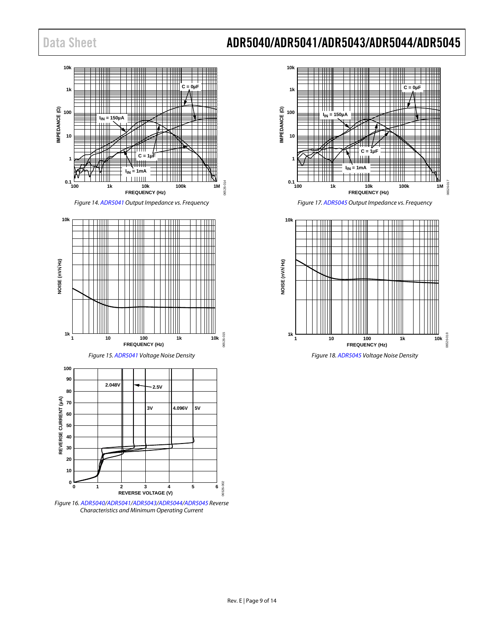

*Figure 14[. ADR5041](http://www.analog.com/adr5041?doc=adr5040_5041_5043_5044_5045.pdf) Output Impedance vs. Frequency*



*Figure 16[. ADR5040/](http://www.analog.com/adr5040?doc=adr5040_5041_5043_5044_5045.pdf)[ADR5041/](http://www.analog.com/adr5041?doc=adr5040_5041_5043_5044_5045.pdf)[ADR5043](http://www.analog.com/adr5043?doc=adr5040_5041_5043_5044_5045.pdf)[/ADR5044](http://www.analog.com/adr5044?doc=adr5040_5041_5043_5044_5045.pdf)[/ADR5045](http://www.analog.com/adr5045?doc=adr5040_5041_5043_5044_5045.pdf) Reverse Characteristics and Minimum Operating Current*



*Figure 17[. ADR5045](http://www.analog.com/adr5045?doc=adr5040_5041_5043_5044_5045.pdf) Output Impedance vs. Frequency*

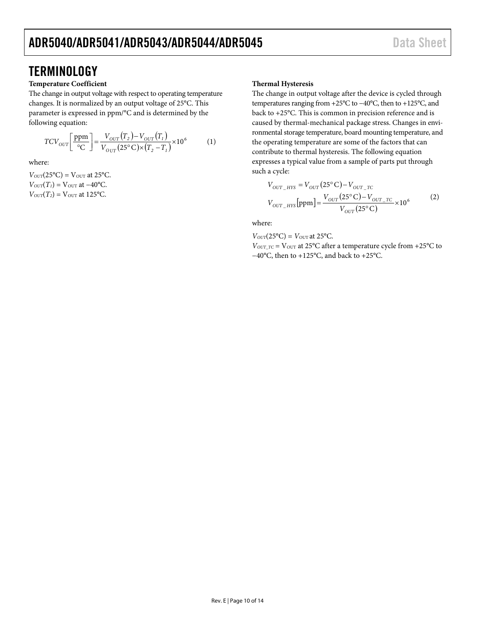## <span id="page-9-0"></span>**TERMINOLOGY**

#### **Temperature Coefficient**

The change in output voltage with respect to operating temperature changes. It is normalized by an output voltage of 25°C. This parameter is expressed in ppm/°C and is determined by the following equation:

$$
TCV_{OUT} \left[ \frac{\text{ppm}}{\text{°C}} \right] = \frac{V_{OUT}(T_2) - V_{OUT}(T_1)}{V_{OUT}(25\text{°C}) \times (T_2 - T_1)} \times 10^6 \tag{1}
$$

where:

 $V_{OUT}(25^{\circ}C) = V_{OUT}$  at 25<sup>o</sup>C.  $V_{OUT}(T_1) = V_{OUT}$  at  $-40^{\circ}$ C.  $V_{OUT}(T_2) = V_{OUT}$  at 125°C.

#### **Thermal Hysteresis**

The change in output voltage after the device is cycled through temperatures ranging from +25°C to −40°C, then to +125°C, and back to +25°C. This is common in precision reference and is caused by thermal-mechanical package stress. Changes in environmental storage temperature, board mounting temperature, and the operating temperature are some of the factors that can contribute to thermal hysteresis. The following equation expresses a typical value from a sample of parts put through such a cycle:

$$
V_{OUT\_HYS} = V_{OUT} (25^{\circ} \text{C}) - V_{OUT\_TC}
$$
  
\n
$$
V_{OUT\_HYS} [ppm] = \frac{V_{OUT} (25^{\circ} \text{C}) - V_{OUT\_TC}}{V_{OUT} (25^{\circ} \text{C})} \times 10^6
$$
 (2)

where:

 $V_{OUT}(25^{\circ}C) = V_{OUT}$  at 25 $^{\circ}C$ .

 $V_{OUT\_TC}$  =  $V_{OUT}$  at 25 $°C$  after a temperature cycle from +25 $°C$  to −40°C, then to +125°C, and back to +25°C.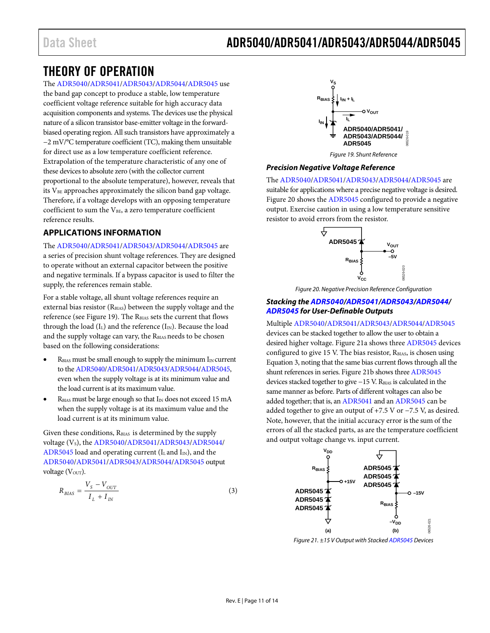### <span id="page-10-0"></span>THEORY OF OPERATION

#### The [ADR5040](http://www.analog.com/adr5040?doc=adr5040_5041_5043_5044_5045.pdf)[/ADR5041](http://www.analog.com/adr5041?doc=adr5040_5041_5043_5044_5045.pdf)[/ADR5043/](http://www.analog.com/adr5043?doc=adr5040_5041_5043_5044_5045.pdf)[ADR5044/](http://www.analog.com/adr5044?doc=adr5040_5041_5043_5044_5045.pdf)[ADR5045](http://www.analog.com/adr5045?doc=adr5040_5041_5043_5044_5045.pdf) use

the band gap concept to produce a stable, low temperature coefficient voltage reference suitable for high accuracy data acquisition components and systems. The devices use the physical nature of a silicon transistor base-emitter voltage in the forwardbiased operating region. All such transistors have approximately a −2 mV/°C temperature coefficient (TC), making them unsuitable for direct use as a low temperature coefficient reference. Extrapolation of the temperature characteristic of any one of these devices to absolute zero (with the collector current proportional to the absolute temperature), however, reveals that its V<sub>BE</sub> approaches approximately the silicon band gap voltage. Therefore, if a voltage develops with an opposing temperature coefficient to sum the V<sub>BE</sub>, a zero temperature coefficient reference results.

#### <span id="page-10-1"></span>**APPLICATIONS INFORMATION**

#### The [ADR5040](http://www.analog.com/adr5040?doc=adr5040_5041_5043_5044_5045.pdf)[/ADR5041](http://www.analog.com/adr5041?doc=adr5040_5041_5043_5044_5045.pdf)[/ADR5043/](http://www.analog.com/adr5043?doc=adr5040_5041_5043_5044_5045.pdf)[ADR5044/](http://www.analog.com/adr5044?doc=adr5040_5041_5043_5044_5045.pdf)[ADR5045](http://www.analog.com/adr5045?doc=adr5040_5041_5043_5044_5045.pdf) are

a series of precision shunt voltage references. They are designed to operate without an external capacitor between the positive and negative terminals. If a bypass capacitor is used to filter the supply, the references remain stable.

For a stable voltage, all shunt voltage references require an external bias resistor (RBIAS) between the supply voltage and the reference (see [Figure](#page-10-2) 19). The RBIAS sets the current that flows through the load  $(I_L)$  and the reference  $(I_N)$ . Because the load and the supply voltage can vary, the RBIAS needs to be chosen based on the following considerations:

- $R<sub>BIAS</sub>$  must be small enough to supply the minimum  $I<sub>IN</sub>$  current to th[e ADR5040/](http://www.analog.com/adr5040?doc=adr5040_5041_5043_5044_5045.pdf)[ADR5041](http://www.analog.com/adr5041?doc=adr5040_5041_5043_5044_5045.pdf)[/ADR5043](http://www.analog.com/adr5043?doc=adr5040_5041_5043_5044_5045.pdf)[/ADR5044/](http://www.analog.com/adr5044?doc=adr5040_5041_5043_5044_5045.pdf)[ADR5045,](http://www.analog.com/adr5045?doc=adr5040_5041_5043_5044_5045.pdf) even when the supply voltage is at its minimum value and the load current is at its maximum value.
- $R<sub>BIAS</sub>$  must be large enough so that  $I<sub>IN</sub>$  does not exceed 15 mA when the supply voltage is at its maximum value and the load current is at its minimum value.

Given these conditions, R<sub>BIAS</sub> is determined by the supply voltage (V<sub>s</sub>), th[e ADR5040/](http://www.analog.com/adr5040?doc=adr5040_5041_5043_5044_5045.pdf)[ADR5041](http://www.analog.com/adr5041?doc=adr5040_5041_5043_5044_5045.pdf)[/ADR5043](http://www.analog.com/adr5043?doc=adr5040_5041_5043_5044_5045.pdf)[/ADR5044/](http://www.analog.com/adr5044?doc=adr5040_5041_5043_5044_5045.pdf) [ADR5045](http://www.analog.com/adr5045?doc=adr5040_5041_5043_5044_5045.pdf) load and operating current ( $I<sub>L</sub>$  and  $I<sub>IN</sub>$ ), and the [ADR5040/](http://www.analog.com/adr5040?doc=adr5040_5041_5043_5044_5045.pdf)[ADR5041](http://www.analog.com/adr5041?doc=adr5040_5041_5043_5044_5045.pdf)[/ADR5043/](http://www.analog.com/adr5043?doc=adr5040_5041_5043_5044_5045.pdf)[ADR5044/](http://www.analog.com/adr5044?doc=adr5040_5041_5043_5044_5045.pdf)[ADR5045](http://www.analog.com/adr5045?doc=adr5040_5041_5043_5044_5045.pdf) output voltage (V<sub>OUT</sub>).

$$
R_{BIAS} = \frac{V_s - V_{OUT}}{I_L + I_{IN}}\tag{3}
$$



*Figure 19. Shunt Reference*

#### <span id="page-10-2"></span>*Precision Negative Voltage Reference*

The [ADR5040](http://www.analog.com/adr5040?doc=adr5040_5041_5043_5044_5045.pdf)[/ADR5041](http://www.analog.com/adr5041?doc=adr5040_5041_5043_5044_5045.pdf)[/ADR5043/](http://www.analog.com/adr5043?doc=adr5040_5041_5043_5044_5045.pdf)[ADR5044/](http://www.analog.com/adr5044?doc=adr5040_5041_5043_5044_5045.pdf)[ADR5045](http://www.analog.com/adr5045?doc=adr5040_5041_5043_5044_5045.pdf) are suitable for applications where a precise negative voltage is desired. [Figure 20](#page-10-3) shows th[e ADR5045](http://www.analog.com/adr5045?doc=adr5040_5041_5043_5044_5045.pdf) configured to provide a negative output. Exercise caution in using a low temperature sensitive resistor to avoid errors from the resistor.



*Figure 20. Negative Precision Reference Configuration*

#### <span id="page-10-3"></span>*Stacking th[e ADR5040/](http://www.analog.com/adr5040?doc=adr5040_5041_5043_5044_5045.pdf)[ADR5041/](http://www.analog.com/adr5041?doc=adr5040_5041_5043_5044_5045.pdf)[ADR5043](http://www.analog.com/adr5043?doc=adr5040_5041_5043_5044_5045.pdf)[/ADR5044/](http://www.analog.com/adr5044?doc=adr5040_5041_5043_5044_5045.pdf) [ADR5045](http://www.analog.com/adr5045?doc=adr5040_5041_5043_5044_5045.pdf) for User-Definable Outputs*

Multipl[e ADR5040/](http://www.analog.com/adr5040?doc=adr5040_5041_5043_5044_5045.pdf)[ADR5041](http://www.analog.com/adr5041?doc=adr5040_5041_5043_5044_5045.pdf)[/ADR5043](http://www.analog.com/adr5043?doc=adr5040_5041_5043_5044_5045.pdf)[/ADR5044](http://www.analog.com/adr5044?doc=adr5040_5041_5043_5044_5045.pdf)[/ADR5045](http://www.analog.com/adr5045?doc=adr5040_5041_5043_5044_5045.pdf) devices can be stacked together to allow the user to obtain a desired higher voltage[. Figure 21a](#page-10-4) shows thre[e ADR5045](http://www.analog.com/adr5045?doc=adr5040_5041_5043_5044_5045.pdf) devices configured to give 15 V. The bias resistor,  $R_{BIAS}$ , is chosen using Equation 3, noting that the same bias current flows through all the shunt references in series[. Figure 21b](#page-10-4) shows thre[e ADR5045](http://www.analog.com/adr5045?doc=adr5040_5041_5043_5044_5045.pdf) devices stacked together to give −15 V. RBIAS is calculated in the same manner as before. Parts of different voltages can also be added together; that is, a[n ADR5041](http://www.analog.com/adr5041?doc=adr5040_5041_5043_5044_5045.pdf) and an [ADR5045](http://www.analog.com/adr5045?doc=adr5040_5041_5043_5044_5045.pdf) can be added together to give an output of +7.5 V or −7.5 V, as desired. Note, however, that the initial accuracy error is the sum of the errors of all the stacked parts, as are the temperature coefficient and output voltage change vs. input current.



<span id="page-10-4"></span>*Figure 21. ±15 V Output with Stacke[d ADR5045](http://www.analog.com/adr5045?doc=adr5040_5041_5043_5044_5045.pdf) Devices*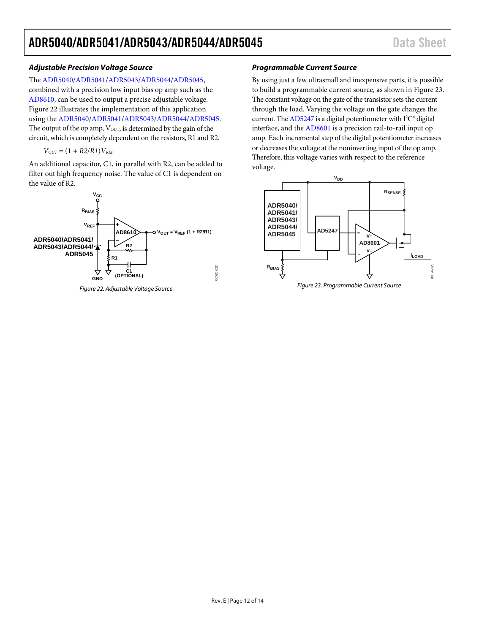#### *Adjustable Precision Voltage Source*

The [ADR5040](http://www.analog.com/adr5040?doc=adr5040_5041_5043_5044_5045.pdf)[/ADR5041](http://www.analog.com/adr5041?doc=adr5040_5041_5043_5044_5045.pdf)[/ADR5043/](http://www.analog.com/adr5043?doc=adr5040_5041_5043_5044_5045.pdf)[ADR5044/](http://www.analog.com/adr5044?doc=adr5040_5041_5043_5044_5045.pdf)[ADR5045,](http://www.analog.com/adr5045?doc=adr5040_5041_5043_5044_5045.pdf) 

combined with a precision low input bias op amp such as the [AD8610,](http://www.analog.com/AD8610?doc=adr5040_5041_5043_5044_5045.pdf) can be used to output a precise adjustable voltage. [Figure 22](#page-11-0) illustrates the implementation of this application using the [ADR5040](http://www.analog.com/adr5040?doc=adr5040_5041_5043_5044_5045.pdf)[/ADR5041](http://www.analog.com/adr5041?doc=adr5040_5041_5043_5044_5045.pdf)[/ADR5043/](http://www.analog.com/adr5043?doc=adr5040_5041_5043_5044_5045.pdf)[ADR5044](http://www.analog.com/adr5044?doc=adr5040_5041_5043_5044_5045.pdf)[/ADR5045.](http://www.analog.com/adr5045?doc=adr5040_5041_5043_5044_5045.pdf) The output of the op amp,  $V<sub>OUT</sub>$ , is determined by the gain of the circuit, which is completely dependent on the resistors, R1 and R2.

$$
V_{OUT} = (1 + R2/R1)V_{REF}
$$

An additional capacitor, C1, in parallel with R2, can be added to filter out high frequency noise. The value of C1 is dependent on the value of R2.



<span id="page-11-0"></span>*Figure 22. Adjustable Voltage Source*

#### *Programmable Current Source*

By using just a few ultrasmall and inexpensive parts, it is possible to build a programmable current source, as shown i[n Figure 23.](#page-11-1) The constant voltage on the gate of the transistor sets the current through the load. Varying the voltage on the gate changes the current. Th[e AD5247](http://www.analog.com/ad5247?doc=adr5040_5041_5043_5044_5045.pdf) is a digital potentiometer with  $I^2C^*$  digital interface, and the [AD8601](http://www.analog.com/ad8601?doc=adr5040_5041_5043_5044_5045.pdf) is a precision rail-to-rail input op amp. Each incremental step of the digital potentiometer increases or decreases the voltage at the noninverting input of the op amp. Therefore, this voltage varies with respect to the reference voltage.

<span id="page-11-1"></span>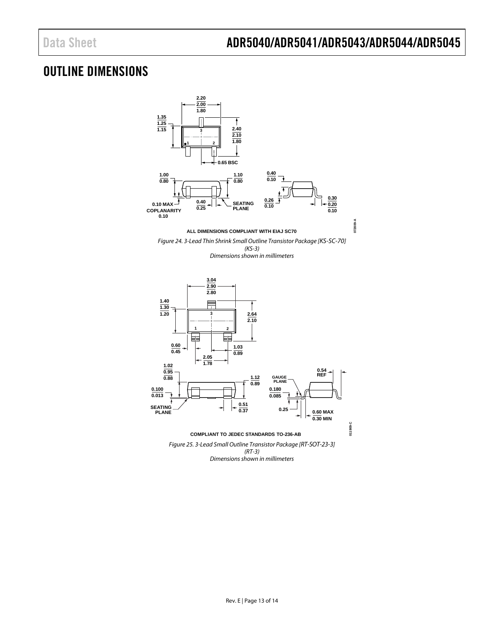# <span id="page-12-0"></span>OUTLINE DIMENSIONS



*Figure 25. 3-Lead Small Outline Transistor Package [RT-SOT-23-3] (RT-3) Dimensions shown in millimeters*